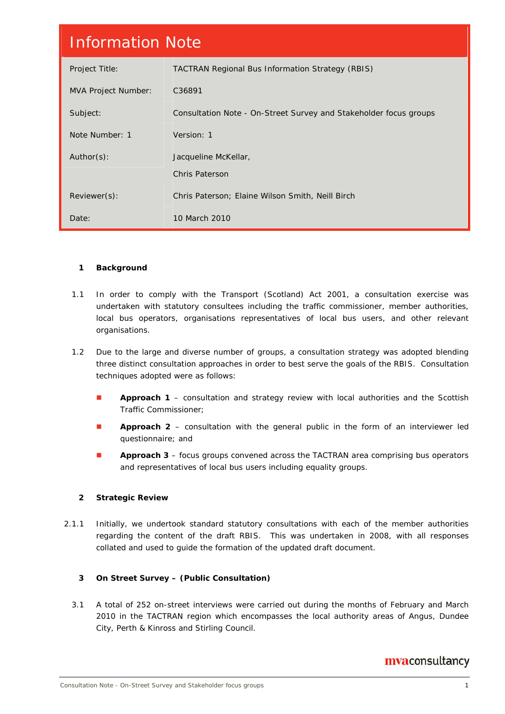| <b>Information Note</b>    |                                                                   |  |  |  |  |
|----------------------------|-------------------------------------------------------------------|--|--|--|--|
| Project Title:             | <b>TACTRAN Regional Bus Information Strategy (RBIS)</b>           |  |  |  |  |
| <b>MVA Project Number:</b> | C36891                                                            |  |  |  |  |
| Subject:                   | Consultation Note - On-Street Survey and Stakeholder focus groups |  |  |  |  |
| Note Number: 1             | Version: 1                                                        |  |  |  |  |
| Author(s):                 | Jacqueline McKellar,                                              |  |  |  |  |
|                            | <b>Chris Paterson</b>                                             |  |  |  |  |
| Reviewer(s):               | Chris Paterson; Elaine Wilson Smith, Neill Birch                  |  |  |  |  |
| Date:                      | 10 March 2010                                                     |  |  |  |  |

# **1 Background**

- 1.1 In order to comply with the Transport (Scotland) Act 2001, a consultation exercise was undertaken with statutory consultees including the traffic commissioner, member authorities, local bus operators, organisations representatives of local bus users, and other relevant organisations.
- 1.2 Due to the large and diverse number of groups, a consultation strategy was adopted blending three distinct consultation approaches in order to best serve the goals of the RBIS. Consultation techniques adopted were as follows:
	- **Approach 1** consultation and strategy review with local authorities and the Scottish Traffic Commissioner;
	- **Approach 2** consultation with the general public in the form of an interviewer led questionnaire; and
	- **Approach 3** focus groups convened across the TACTRAN area comprising bus operators and representatives of local bus users including equality groups.

# **2 Strategic Review**

2.1.1 Initially, we undertook standard statutory consultations with each of the member authorities regarding the content of the draft RBIS. This was undertaken in 2008, with all responses collated and used to guide the formation of the updated draft document.

# **3 On Street Survey – (Public Consultation)**

3.1 A total of 252 on-street interviews were carried out during the months of February and March 2010 in the TACTRAN region which encompasses the local authority areas of Angus, Dundee City, Perth & Kinross and Stirling Council.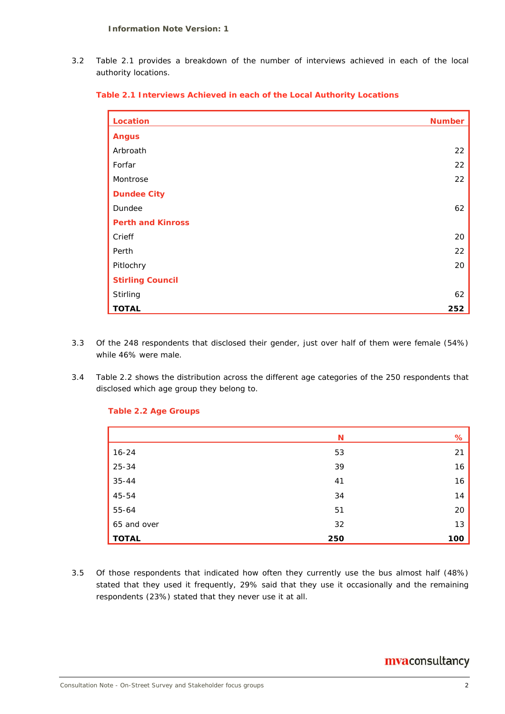3.2 Table 2.1 provides a breakdown of the number of interviews achieved in each of the local authority locations.

|  |  | Table 2.1 Interviews Achieved in each of the Local Authority Locations |  |  |  |  |  |
|--|--|------------------------------------------------------------------------|--|--|--|--|--|
|--|--|------------------------------------------------------------------------|--|--|--|--|--|

| Location                 | <b>Number</b> |
|--------------------------|---------------|
| <b>Angus</b>             |               |
| Arbroath                 | 22            |
| Forfar                   | 22            |
| Montrose                 | 22            |
| <b>Dundee City</b>       |               |
| Dundee                   | 62            |
| <b>Perth and Kinross</b> |               |
| Crieff                   | 20            |
| Perth                    | 22            |
| Pitlochry                | 20            |
| <b>Stirling Council</b>  |               |
| Stirling                 | 62            |
| <b>TOTAL</b>             | 252           |

- 3.3 Of the 248 respondents that disclosed their gender, just over half of them were female (54%) while 46% were male.
- 3.4 Table 2.2 shows the distribution across the different age categories of the 250 respondents that disclosed which age group they belong to.

#### **Table 2.2 Age Groups**

|              | N   | %   |
|--------------|-----|-----|
| $16 - 24$    | 53  | 21  |
| 25-34        | 39  | 16  |
| $35 - 44$    | 41  | 16  |
| 45-54        | 34  | 14  |
| 55-64        | 51  | 20  |
| 65 and over  | 32  | 13  |
| <b>TOTAL</b> | 250 | 100 |

3.5 Of those respondents that indicated how often they currently use the bus almost half (48%) stated that they used it frequently, 29% said that they use it occasionally and the remaining respondents (23%) stated that they never use it at all.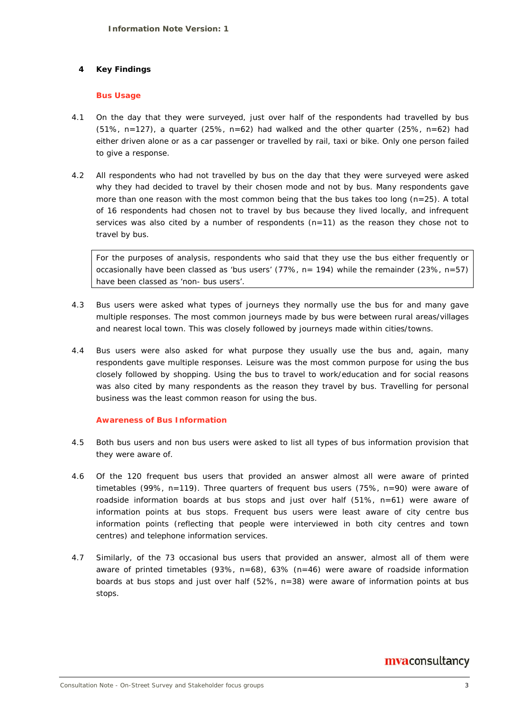# **4 Key Findings**

#### **Bus Usage**

- 4.1 On the day that they were surveyed, just over half of the respondents had travelled by bus  $(51\%$ , n=127), a quarter  $(25\%$ , n=62) had walked and the other quarter  $(25\%$ , n=62) had either driven alone or as a car passenger or travelled by rail, taxi or bike. Only one person failed to give a response.
- 4.2 All respondents who had not travelled by bus on the day that they were surveyed were asked why they had decided to travel by their chosen mode and not by bus. Many respondents gave more than one reason with the most common being that the bus takes too long ( $n=25$ ). A total of 16 respondents had chosen not to travel by bus because they lived locally, and infrequent services was also cited by a number of respondents (n=11) as the reason they chose not to travel by bus.

For the purposes of analysis, respondents who said that they use the bus either frequently or occasionally have been classed as 'bus users' (77%,  $n = 194$ ) while the remainder (23%,  $n=57$ ) have been classed as 'non- bus users'.

- 4.3 Bus users were asked what types of journeys they normally use the bus for and many gave multiple responses. The most common journeys made by bus were between rural areas/villages and nearest local town. This was closely followed by journeys made within cities/towns.
- 4.4 Bus users were also asked for what purpose they usually use the bus and, again, many respondents gave multiple responses. Leisure was the most common purpose for using the bus closely followed by shopping. Using the bus to travel to work/education and for social reasons was also cited by many respondents as the reason they travel by bus. Travelling for personal business was the least common reason for using the bus.

# **Awareness of Bus Information**

- 4.5 Both bus users and non bus users were asked to list all types of bus information provision that they were aware of.
- 4.6 Of the 120 frequent bus users that provided an answer almost all were aware of printed timetables (99%, n=119). Three quarters of frequent bus users (75%, n=90) were aware of roadside information boards at bus stops and just over half  $(51\%, n=61)$  were aware of information points at bus stops. Frequent bus users were least aware of city centre bus information points (reflecting that people were interviewed in both city centres and town centres) and telephone information services.
- 4.7 Similarly, of the 73 occasional bus users that provided an answer, almost all of them were aware of printed timetables (93%,  $n=68$ ), 63% ( $n=46$ ) were aware of roadside information boards at bus stops and just over half (52%, n=38) were aware of information points at bus stops.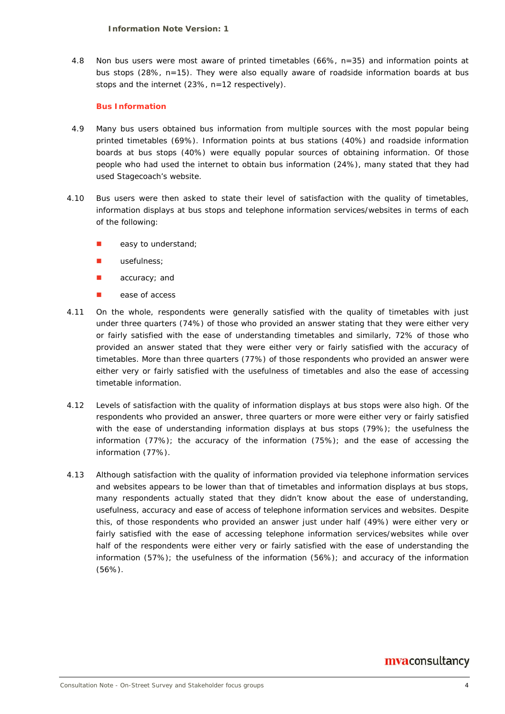4.8 Non bus users were most aware of printed timetables (66%, n=35) and information points at bus stops (28%, n=15). They were also equally aware of roadside information boards at bus stops and the internet (23%, n=12 respectively).

### **Bus Information**

- 4.9 Many bus users obtained bus information from multiple sources with the most popular being printed timetables (69%). Information points at bus stations (40%) and roadside information boards at bus stops (40%) were equally popular sources of obtaining information. Of those people who had used the internet to obtain bus information (24%), many stated that they had used Stagecoach's website.
- 4.10 Bus users were then asked to state their level of satisfaction with the quality of timetables, information displays at bus stops and telephone information services/websites in terms of each of the following:
	- easy to understand;
	- usefulness;
	- accuracy; and
	- ease of access
- 4.11 On the whole, respondents were generally satisfied with the quality of timetables with just under three quarters (74%) of those who provided an answer stating that they were either very or fairly satisfied with the ease of understanding timetables and similarly, 72% of those who provided an answer stated that they were either very or fairly satisfied with the accuracy of timetables. More than three quarters (77%) of those respondents who provided an answer were either very or fairly satisfied with the usefulness of timetables and also the ease of accessing timetable information.
- 4.12 Levels of satisfaction with the quality of information displays at bus stops were also high. Of the respondents who provided an answer, three quarters or more were either very or fairly satisfied with the ease of understanding information displays at bus stops (79%); the usefulness the information (77%); the accuracy of the information (75%); and the ease of accessing the information (77%).
- 4.13 Although satisfaction with the quality of information provided via telephone information services and websites appears to be lower than that of timetables and information displays at bus stops, many respondents actually stated that they didn't know about the ease of understanding, usefulness, accuracy and ease of access of telephone information services and websites. Despite this, of those respondents who provided an answer just under half (49%) were either very or fairly satisfied with the ease of accessing telephone information services/websites while over half of the respondents were either very or fairly satisfied with the ease of understanding the information (57%); the usefulness of the information (56%); and accuracy of the information (56%).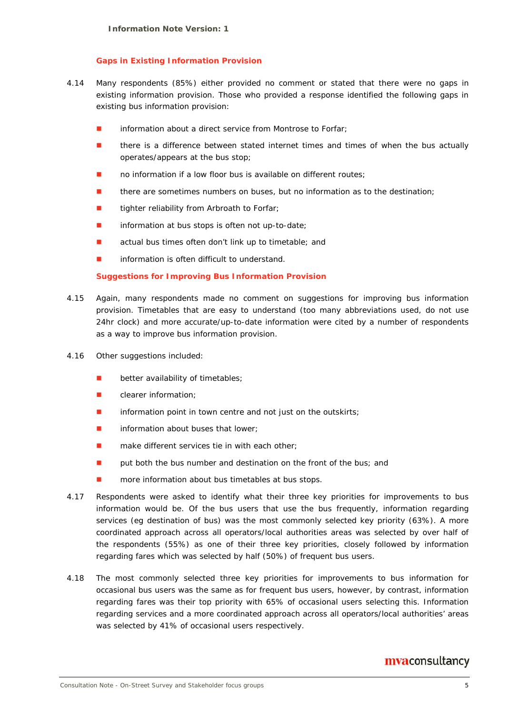#### **Gaps in Existing Information Provision**

- 4.14 Many respondents (85%) either provided no comment or stated that there were no gaps in existing information provision. Those who provided a response identified the following gaps in existing bus information provision:
	- information about a direct service from Montrose to Forfar;
	- there is a difference between stated internet times and times of when the bus actually operates/appears at the bus stop;
	- no information if a low floor bus is available on different routes;
	- there are sometimes numbers on buses, but no information as to the destination;
	- tighter reliability from Arbroath to Forfar;
	- **n** information at bus stops is often not up-to-date;
	- actual bus times often don't link up to timetable; and
	- information is often difficult to understand.

#### **Suggestions for Improving Bus Information Provision**

- 4.15 Again, many respondents made no comment on suggestions for improving bus information provision. Timetables that are easy to understand (too many abbreviations used, do not use 24hr clock) and more accurate/up-to-date information were cited by a number of respondents as a way to improve bus information provision.
- 4.16 Other suggestions included:
	- better availability of timetables;
	- clearer information;
	- information point in town centre and not just on the outskirts;
	- information about buses that lower;
	- make different services tie in with each other;
	- put both the bus number and destination on the front of the bus; and
	- more information about bus timetables at bus stops.
- 4.17 Respondents were asked to identify what their three key priorities for improvements to bus information would be. Of the bus users that use the bus frequently, information regarding services (eg destination of bus) was the most commonly selected key priority (63%). A more coordinated approach across all operators/local authorities areas was selected by over half of the respondents (55%) as one of their three key priorities, closely followed by information regarding fares which was selected by half (50%) of frequent bus users.
- 4.18 The most commonly selected three key priorities for improvements to bus information for occasional bus users was the same as for frequent bus users, however, by contrast, information regarding fares was their top priority with 65% of occasional users selecting this. Information regarding services and a more coordinated approach across all operators/local authorities' areas was selected by 41% of occasional users respectively.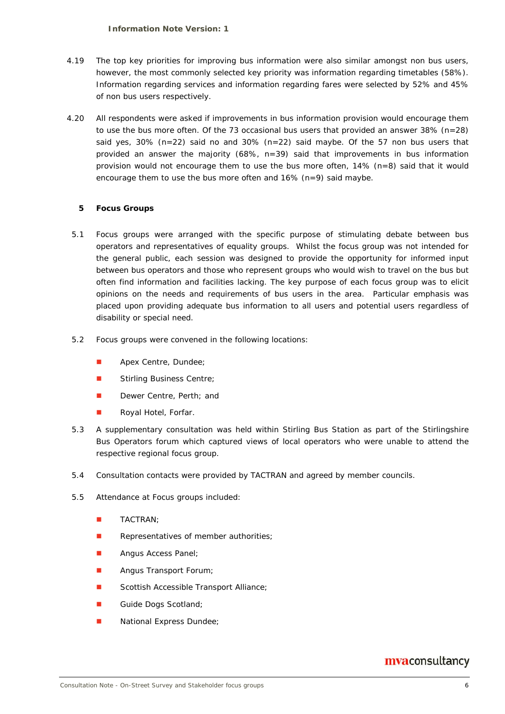#### **Information Note Version: 1**

- 4.19 The top key priorities for improving bus information were also similar amongst non bus users, however, the most commonly selected key priority was information regarding timetables (58%). Information regarding services and information regarding fares were selected by 52% and 45% of non bus users respectively.
- 4.20 All respondents were asked if improvements in bus information provision would encourage them to use the bus more often. Of the 73 occasional bus users that provided an answer  $38\%$  (n=28) said yes,  $30\%$  (n=22) said no and  $30\%$  (n=22) said maybe. Of the 57 non bus users that provided an answer the majority (68%, n=39) said that improvements in bus information provision would not encourage them to use the bus more often,  $14\%$  (n=8) said that it would encourage them to use the bus more often and 16% (n=9) said maybe.

# **5 Focus Groups**

- 5.1 Focus groups were arranged with the specific purpose of stimulating debate between bus operators and representatives of equality groups. Whilst the focus group was not intended for the general public, each session was designed to provide the opportunity for informed input between bus operators and those who represent groups who would wish to travel on the bus but often find information and facilities lacking. The key purpose of each focus group was to elicit opinions on the needs and requirements of bus users in the area. Particular emphasis was placed upon providing adequate bus information to all users and potential users regardless of disability or special need.
- 5.2 Focus groups were convened in the following locations:
	- **Apex Centre, Dundee;**
	- **Stirling Business Centre;**
	- Dewer Centre, Perth; and
	- Royal Hotel, Forfar.
- 5.3 A supplementary consultation was held within Stirling Bus Station as part of the Stirlingshire Bus Operators forum which captured views of local operators who were unable to attend the respective regional focus group.
- 5.4 Consultation contacts were provided by TACTRAN and agreed by member councils.
- 5.5 Attendance at Focus groups included:
	- **TACTRAN**;
	- Representatives of member authorities;
	- **Angus Access Panel**;
	- **Angus Transport Forum;**
	- Scottish Accessible Transport Alliance;
	- Guide Dogs Scotland;
	- National Express Dundee;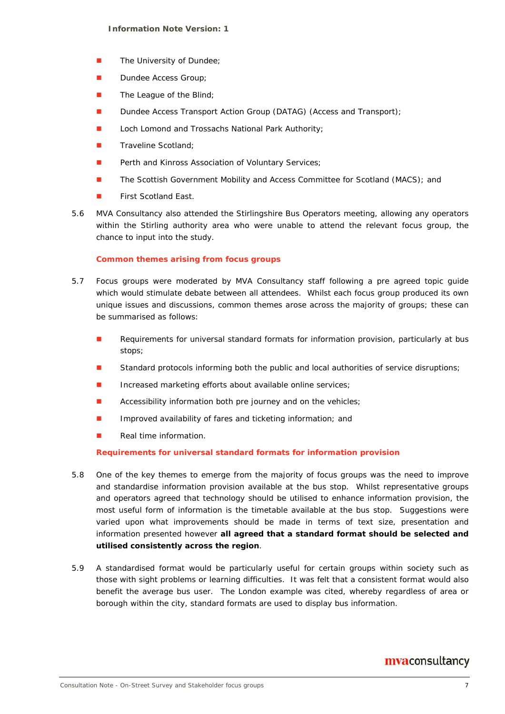- **The University of Dundee;**
- Dundee Access Group;
- $\blacksquare$  The League of the Blind;
- Dundee Access Transport Action Group (DATAG) (Access and Transport);
- Loch Lomond and Trossachs National Park Authority;
- Traveline Scotland;
- Perth and Kinross Association of Voluntary Services;
- **The Scottish Government Mobility and Access Committee for Scotland (MACS); and**
- First Scotland East.
- 5.6 MVA Consultancy also attended the Stirlingshire Bus Operators meeting, allowing any operators within the Stirling authority area who were unable to attend the relevant focus group, the chance to input into the study.

# **Common themes arising from focus groups**

- 5.7 Focus groups were moderated by MVA Consultancy staff following a pre agreed topic guide which would stimulate debate between all attendees. Whilst each focus group produced its own unique issues and discussions, common themes arose across the majority of groups; these can be summarised as follows:
	- Requirements for universal standard formats for information provision, particularly at bus stops;
	- Standard protocols informing both the public and local authorities of service disruptions;
	- Increased marketing efforts about available online services;
	- **Accessibility information both pre journey and on the vehicles;**
	- **Improved availability of fares and ticketing information; and**
	- Real time information.

# **Requirements for universal standard formats for information provision**

- 5.8 One of the key themes to emerge from the majority of focus groups was the need to improve and standardise information provision available at the bus stop. Whilst representative groups and operators agreed that technology should be utilised to enhance information provision, the most useful form of information is the timetable available at the bus stop. Suggestions were varied upon what improvements should be made in terms of text size, presentation and information presented however **all agreed that a standard format should be selected and utilised consistently across the region**.
- 5.9 A standardised format would be particularly useful for certain groups within society such as those with sight problems or learning difficulties. It was felt that a consistent format would also benefit the average bus user. The London example was cited, whereby regardless of area or borough within the city, standard formats are used to display bus information.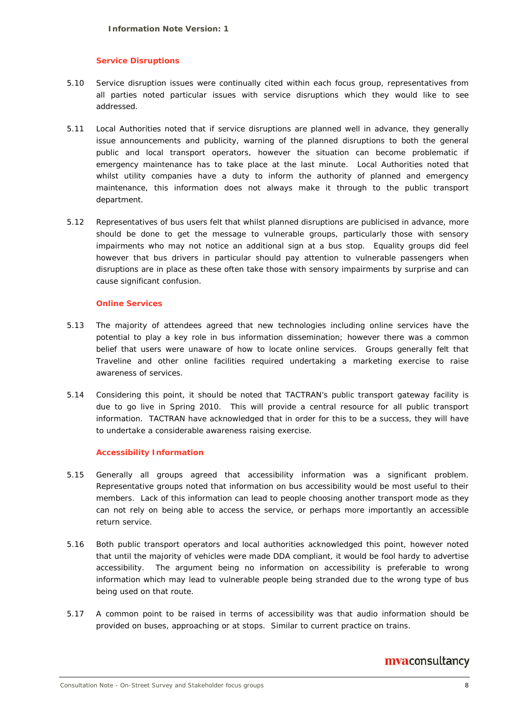#### **Service Disruptions**

- 5.10 Service disruption issues were continually cited within each focus group, representatives from all parties noted particular issues with service disruptions which they would like to see addressed.
- 5.11 Local Authorities noted that if service disruptions are planned well in advance, they generally issue announcements and publicity, warning of the planned disruptions to both the general public and local transport operators, however the situation can become problematic if emergency maintenance has to take place at the last minute. Local Authorities noted that whilst utility companies have a duty to inform the authority of planned and emergency maintenance, this information does not always make it through to the public transport department.
- 5.12 Representatives of bus users felt that whilst planned disruptions are publicised in advance, more should be done to get the message to vulnerable groups, particularly those with sensory impairments who may not notice an additional sign at a bus stop. Equality groups did feel however that bus drivers in particular should pay attention to vulnerable passengers when disruptions are in place as these often take those with sensory impairments by surprise and can cause significant confusion.

#### **Online Services**

- 5.13 The majority of attendees agreed that new technologies including online services have the potential to play a key role in bus information dissemination; however there was a common belief that users were unaware of how to locate online services. Groups generally felt that Traveline and other online facilities required undertaking a marketing exercise to raise awareness of services.
- 5.14 Considering this point, it should be noted that TACTRAN's public transport gateway facility is due to go live in Spring 2010. This will provide a central resource for all public transport information. TACTRAN have acknowledged that in order for this to be a success, they will have to undertake a considerable awareness raising exercise.

#### **Accessibility Information**

- 5.15 Generally all groups agreed that accessibility information was a significant problem. Representative groups noted that information on bus accessibility would be most useful to their members. Lack of this information can lead to people choosing another transport mode as they can not rely on being able to access the service, or perhaps more importantly an accessible return service.
- 5.16 Both public transport operators and local authorities acknowledged this point, however noted that until the majority of vehicles were made DDA compliant, it would be fool hardy to advertise accessibility. The argument being no information on accessibility is preferable to wrong information which may lead to vulnerable people being stranded due to the wrong type of bus being used on that route.
- 5.17 A common point to be raised in terms of accessibility was that audio information should be provided on buses, approaching or at stops. Similar to current practice on trains.